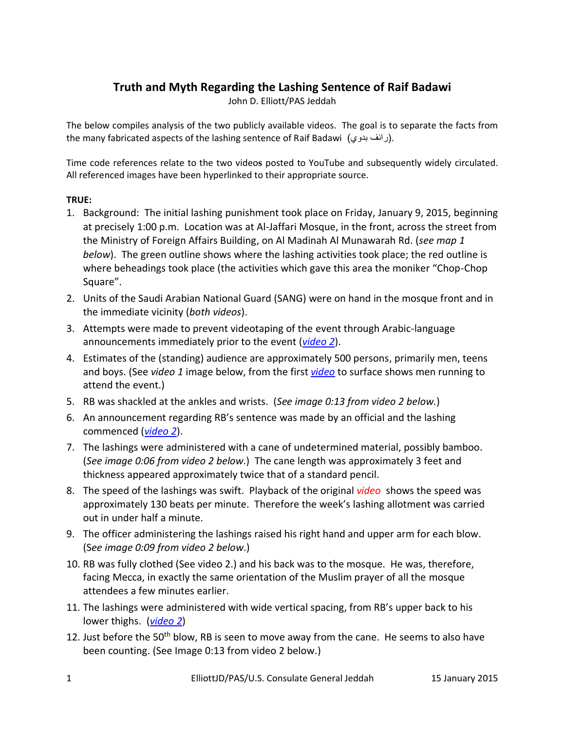## **Truth and Myth Regarding the Lashing Sentence of Raif Badawi**

John D. Elliott/PAS Jeddah

The below compiles analysis of the two publicly available videos. The goal is to separate the facts from the many fabricated aspects of the lashing sentence of Raif Badawi (رائف بدوي).

Time code references relate to the two video**s** posted to YouTube and subsequently widely circulated. All referenced images have been hyperlinked to their appropriate source.

## **TRUE:**

- 1. Background: The initial lashing punishment took place on Friday, January 9, 2015, beginning at precisely 1:00 p.m. Location was at Al-Jaffari Mosque, in the front, across the street from the Ministry of Foreign Affairs Building, on Al Madinah Al Munawarah Rd. (*see map 1 below*). The green outline shows where the lashing activities took place; the red outline is where beheadings took place (the activities which gave this area the moniker "Chop-Chop Square".
- 2. Units of the Saudi Arabian National Guard (SANG) were on hand in the mosque front and in the immediate vicinity (*both videos*).
- 3. Attempts were made to prevent videotaping of the event through Arabic-language announcements immediately prior to the event (*[video 2](http://youtu.be/Vd3dh9sy2SE)*).
- 4. Estimates of the (standing) audience are approximately 500 persons, primarily men, teens and boys. (See *video 1* image below, from the first *[video](http://youtu.be/oUM_wsWHMGs)* to surface shows men running to attend the event.)
- 5. RB was shackled at the ankles and wrists. (*See image 0:13 from video 2 below.*)
- 6. An announcement regarding RB's sentence was made by an official and the lashing commenced (*[video 2](http://youtu.be/Vd3dh9sy2SE)*).
- 7. The lashings were administered with a cane of undetermined material, possibly bamboo. (*See image 0:06 from video 2 below*.) The cane length was approximately 3 feet and thickness appeared approximately twice that of a standard pencil.
- 8. The speed of the lashings was swift. Playback of the original *video* shows the speed was approximately 130 beats per minute. Therefore the week's lashing allotment was carried out in under half a minute.
- 9. The officer administering the lashings raised his right hand and upper arm for each blow. (S*ee image 0:09 from video 2 below*.)
- 10. RB was fully clothed (See video 2.) and his back was to the mosque. He was, therefore, facing Mecca, in exactly the same orientation of the Muslim prayer of all the mosque attendees a few minutes earlier.
- 11. The lashings were administered with wide vertical spacing, from RB's upper back to his lower thighs. (*[video 2](http://youtu.be/Vd3dh9sy2SE)*)
- 12. Just before the 50<sup>th</sup> blow, RB is seen to move away from the cane. He seems to also have been counting. (See Image 0:13 from video 2 below.)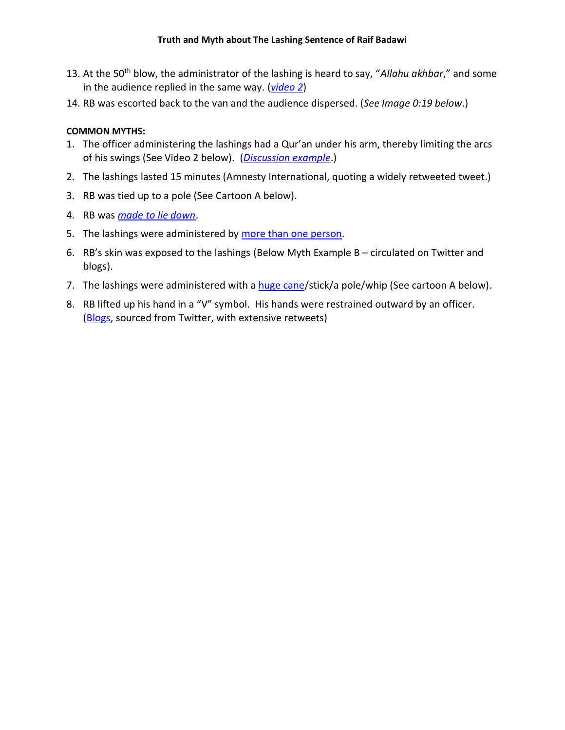- 13. At the 50<sup>th</sup> blow, the administrator of the lashing is heard to say, "Allahu akhbar," and some in the audience replied in the same way. (*[video 2](http://youtu.be/Vd3dh9sy2SE)*)
- 14. RB was escorted back to the van and the audience dispersed. (*See Image 0:19 below*.)

## **COMMON MYTHS:**

- 1. The officer administering the lashings had a Qur'an under his arm, thereby limiting the arcs of his swings (See Video 2 below). (*[Discussion example](https://www.youtube.com/watch?v=eua1SvrRUq0)*.)
- 2. The lashings lasted 15 minutes (Amnesty International, quoting a widely retweeted tweet.)
- 3. RB was tied up to a pole (See Cartoon A below).
- 4. RB was *[made to lie down](http://www.newsweek.com/first-50-1000-lashes-saudi-blogger-sentenced-insulting-islam-298265)*.
- 5. The lashings were administered by [more than one person.](http://www.newsweek.com/first-50-1000-lashes-saudi-blogger-sentenced-insulting-islam-298265)
- 6. RB's skin was exposed to the lashings (Below Myth Example B circulated on Twitter and blogs).
- 7. The lashings were administered with a [huge cane/](http://www.news.com.au/world/middle-east/raif-badawi-to-be-publicly-flogged-every-week-for-months-after-insulting-islam/story-fnh81ifq-1227185842850)stick/a pole/whip (See cartoon A below).
- 8. RB lifted up his hand in a "V" symbol. His hands were restrained outward by an officer. [\(Blogs,](http://www.mysecretatheistblog.com/2015/01/courageous-raif-badawi-held-his-hand-up.html) sourced from Twitter, with extensive retweets)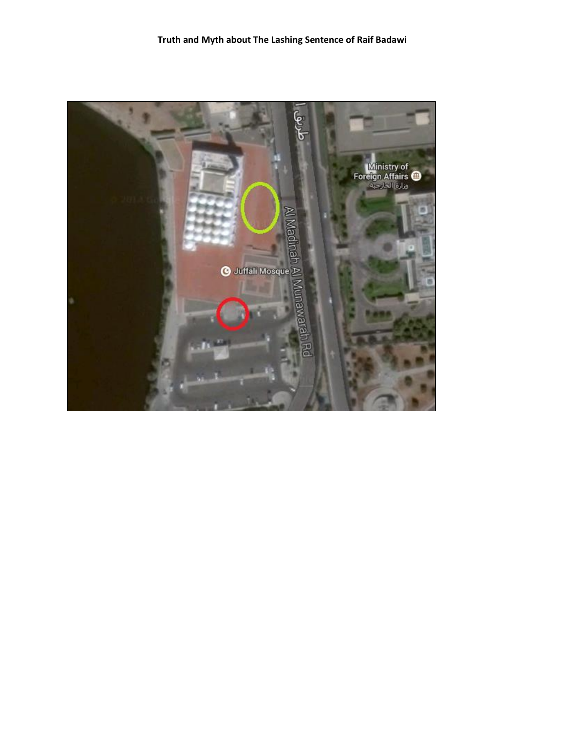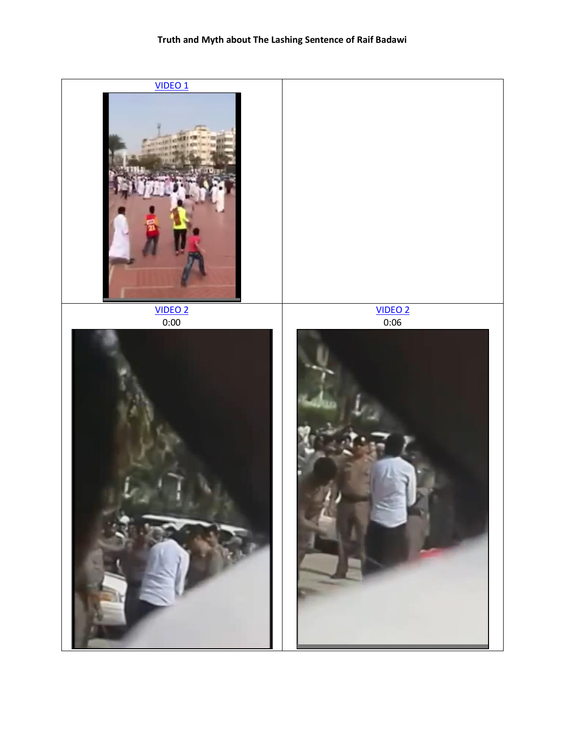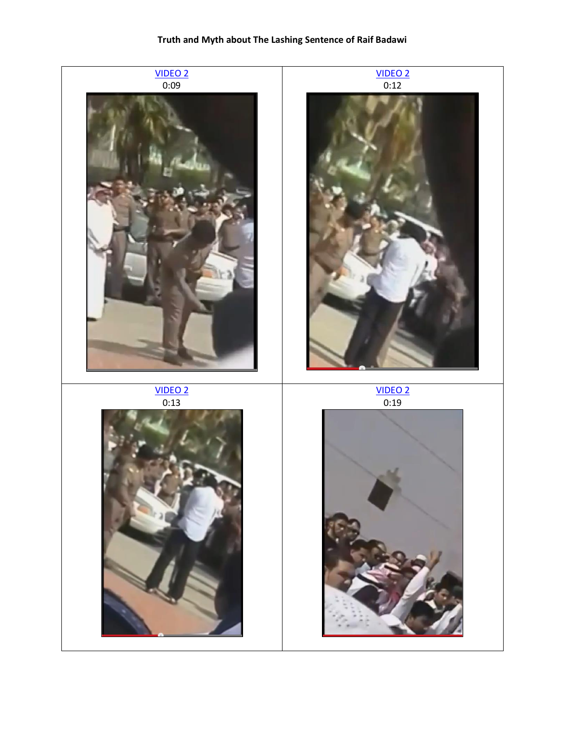## **Truth and Myth about The Lashing Sentence of Raif Badawi**